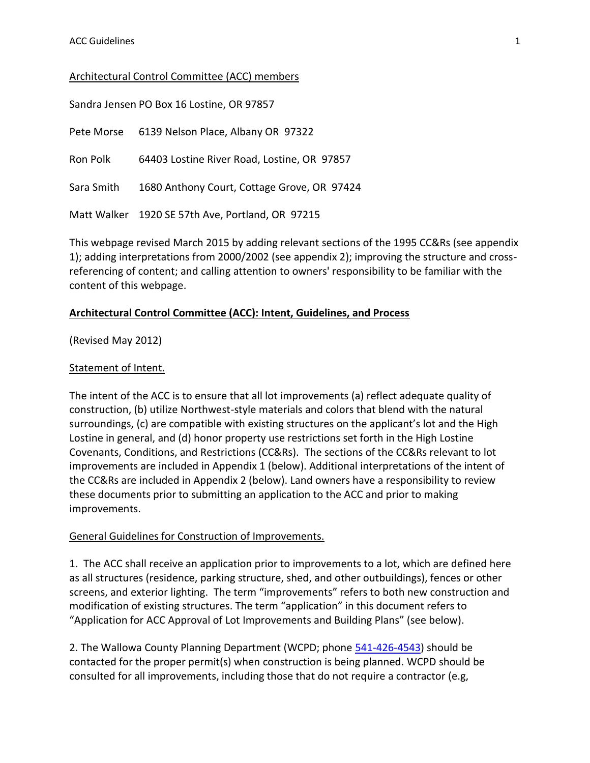## Architectural Control Committee (ACC) members

| Sandra Jensen PO Box 16 Lostine, OR 97857 |                                                  |
|-------------------------------------------|--------------------------------------------------|
| Pete Morse                                | 6139 Nelson Place, Albany OR 97322               |
| Ron Polk                                  | 64403 Lostine River Road, Lostine, OR 97857      |
| Sara Smith                                | 1680 Anthony Court, Cottage Grove, OR 97424      |
|                                           | Matt Walker 1920 SE 57th Ave, Portland, OR 97215 |

This webpage revised March 2015 by adding relevant sections of the 1995 CC&Rs (see appendix 1); adding interpretations from 2000/2002 (see appendix 2); improving the structure and crossreferencing of content; and calling attention to owners' responsibility to be familiar with the content of this webpage.

### **Architectural Control Committee (ACC): Intent, Guidelines, and Process**

(Revised May 2012)

#### Statement of Intent.

The intent of the ACC is to ensure that all lot improvements (a) reflect adequate quality of construction, (b) utilize Northwest-style materials and colors that blend with the natural surroundings, (c) are compatible with existing structures on the applicant's lot and the High Lostine in general, and (d) honor property use restrictions set forth in the High Lostine Covenants, Conditions, and Restrictions (CC&Rs). The sections of the CC&Rs relevant to lot improvements are included in Appendix 1 (below). Additional interpretations of the intent of the CC&Rs are included in Appendix 2 (below). Land owners have a responsibility to review these documents prior to submitting an application to the ACC and prior to making improvements.

### General Guidelines for Construction of Improvements.

1. The ACC shall receive an application prior to improvements to a lot, which are defined here as all structures (residence, parking structure, shed, and other outbuildings), fences or other screens, and exterior lighting. The term "improvements" refers to both new construction and modification of existing structures. The term "application" in this document refers to "Application for ACC Approval of Lot Improvements and Building Plans" (see below).

2. The Wallowa County Planning Department (WCPD; phone [541-426-4543\)](tel:541-426-4543) should be contacted for the proper permit(s) when construction is being planned. WCPD should be consulted for all improvements, including those that do not require a contractor (e.g,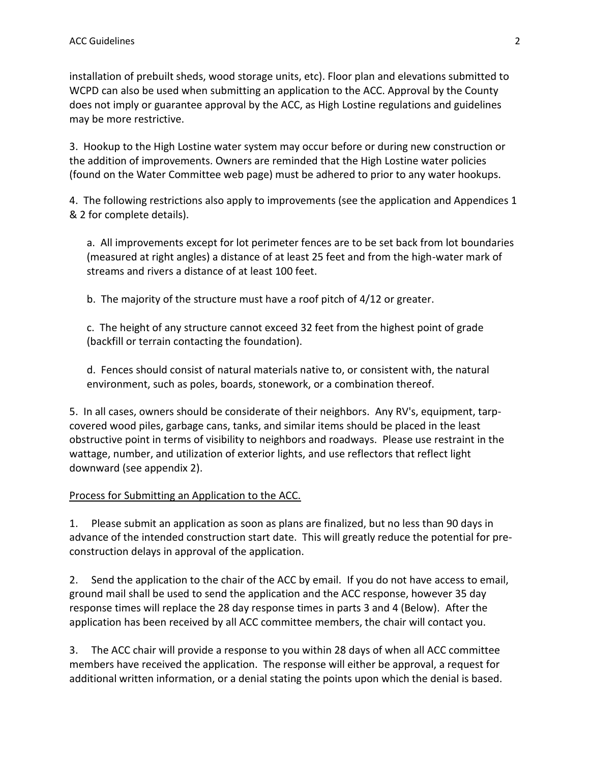installation of prebuilt sheds, wood storage units, etc). Floor plan and elevations submitted to WCPD can also be used when submitting an application to the ACC. Approval by the County does not imply or guarantee approval by the ACC, as High Lostine regulations and guidelines may be more restrictive.

3. Hookup to the High Lostine water system may occur before or during new construction or the addition of improvements. Owners are reminded that the High Lostine water policies (found on the Water Committee web page) must be adhered to prior to any water hookups.

4. The following restrictions also apply to improvements (see the application and Appendices 1 & 2 for complete details).

a. All improvements except for lot perimeter fences are to be set back from lot boundaries (measured at right angles) a distance of at least 25 feet and from the high-water mark of streams and rivers a distance of at least 100 feet.

b. The majority of the structure must have a roof pitch of 4/12 or greater.

c. The height of any structure cannot exceed 32 feet from the highest point of grade (backfill or terrain contacting the foundation).

d. Fences should consist of natural materials native to, or consistent with, the natural environment, such as poles, boards, stonework, or a combination thereof.

5. In all cases, owners should be considerate of their neighbors. Any RV's, equipment, tarpcovered wood piles, garbage cans, tanks, and similar items should be placed in the least obstructive point in terms of visibility to neighbors and roadways. Please use restraint in the wattage, number, and utilization of exterior lights, and use reflectors that reflect light downward (see appendix 2).

# Process for Submitting an Application to the ACC.

1. Please submit an application as soon as plans are finalized, but no less than 90 days in advance of the intended construction start date. This will greatly reduce the potential for preconstruction delays in approval of the application.

2. Send the application to the chair of the ACC by email. If you do not have access to email, ground mail shall be used to send the application and the ACC response, however 35 day response times will replace the 28 day response times in parts 3 and 4 (Below). After the application has been received by all ACC committee members, the chair will contact you.

3. The ACC chair will provide a response to you within 28 days of when all ACC committee members have received the application. The response will either be approval, a request for additional written information, or a denial stating the points upon which the denial is based.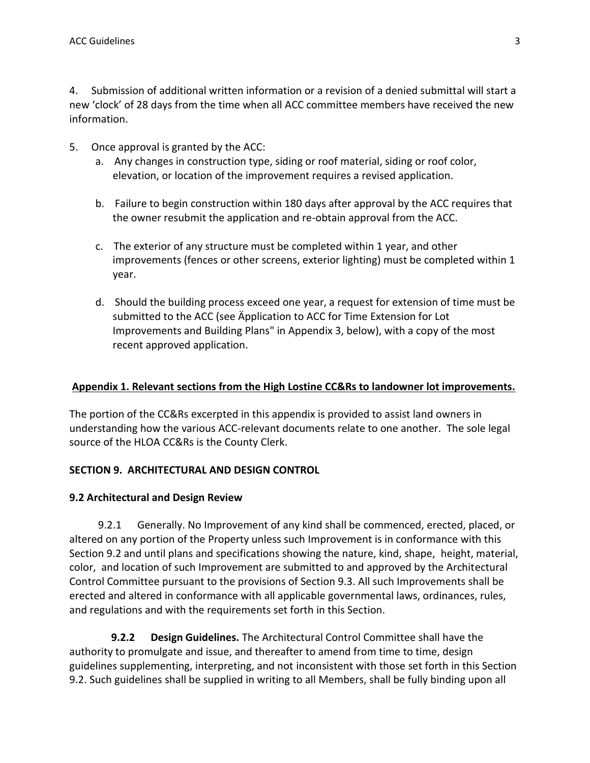4. Submission of additional written information or a revision of a denied submittal will start a new 'clock' of 28 days from the time when all ACC committee members have received the new information.

- 5. Once approval is granted by the ACC:
	- a. Any changes in construction type, siding or roof material, siding or roof color, elevation, or location of the improvement requires a revised application.
	- b. Failure to begin construction within 180 days after approval by the ACC requires that the owner resubmit the application and re-obtain approval from the ACC.
	- c. The exterior of any structure must be completed within 1 year, and other improvements (fences or other screens, exterior lighting) must be completed within 1 year.
	- d. Should the building process exceed one year, a request for extension of time must be submitted to the ACC (see Äpplication to ACC for Time Extension for Lot Improvements and Building Plans" in Appendix 3, below), with a copy of the most recent approved application.

## **Appendix 1. Relevant sections from the High Lostine CC&Rs to landowner lot improvements.**

The portion of the CC&Rs excerpted in this appendix is provided to assist land owners in understanding how the various ACC-relevant documents relate to one another. The sole legal source of the HLOA CC&Rs is the County Clerk.

### **SECTION 9. ARCHITECTURAL AND DESIGN CONTROL**

### **9.2 Architectural and Design Review**

 9.2.1 Generally. No Improvement of any kind shall be commenced, erected, placed, or altered on any portion of the Property unless such Improvement is in conformance with this Section 9.2 and until plans and specifications showing the nature, kind, shape, height, material, color, and location of such Improvement are submitted to and approved by the Architectural Control Committee pursuant to the provisions of Section 9.3. All such Improvements shall be erected and altered in conformance with all applicable governmental laws, ordinances, rules, and regulations and with the requirements set forth in this Section.

 **9.2.2 Design Guidelines.** The Architectural Control Committee shall have the authority to promulgate and issue, and thereafter to amend from time to time, design guidelines supplementing, interpreting, and not inconsistent with those set forth in this Section 9.2. Such guidelines shall be supplied in writing to all Members, shall be fully binding upon all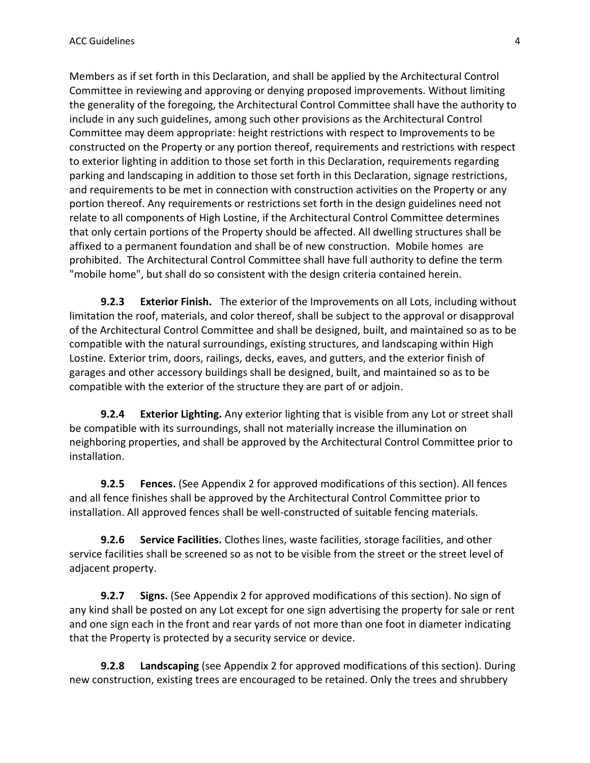Members as if set forth in this Declaration, and shall be applied by the Architectural Control Committee in reviewing and approving or denying proposed improvements. Without limiting the generality of the foregoing, the Architectural Control Committee shall have the authority to include in any such guidelines, among such other provisions as the Architectural Control Committee may deem appropriate: height restrictions with respect to Improvements to be constructed on the Property or any portion thereof, requirements and restrictions with respect to exterior lighting in addition to those set forth in this Declaration, requirements regarding parking and landscaping in addition to those set forth in this Declaration, signage restrictions, and requirements to be met in connection with construction activities on the Property or any portion thereof. Any requirements or restrictions set forth in the design guidelines need not relate to all components of High Lostine, if the Architectural Control Committee determines that only certain portions of the Property should be affected. All dwelling structures shall be affixed to a permanent foundation and shall be of new construction. Mobile homes are prohibited. The Architectural Control Committee shall have full authority to define the term "mobile home", but shall do so consistent with the design criteria contained herein.

 **9.2.3 Exterior Finish.** The exterior of the Improvements on all Lots, including without limitation the roof, materials, and color thereof, shall be subject to the approval or disapproval of the Architectural Control Committee and shall be designed, built, and maintained so as to be compatible with the natural surroundings, existing structures, and landscaping within High Lostine. Exterior trim, doors, railings, decks, eaves, and gutters, and the exterior finish of garages and other accessory buildings shall be designed, built, and maintained so as to be compatible with the exterior of the structure they are part of or adjoin.

 **9.2.4 Exterior Lighting.** Any exterior lighting that is visible from any Lot or street shall be compatible with its surroundings, shall not materially increase the illumination on neighboring properties, and shall be approved by the Architectural Control Committee prior to installation.

 **9.2.5 Fences.** (See Appendix 2 for approved modifications of this section). All fences and all fence finishes shall be approved by the Architectural Control Committee prior to installation. All approved fences shall be well-constructed of suitable fencing materials.

 **9.2.6 Service Facilities.** Clothes lines, waste facilities, storage facilities, and other service facilities shall be screened so as not to be visible from the street or the street level of adjacent property.

 **9.2.7 Signs.** (See Appendix 2 for approved modifications of this section). No sign of any kind shall be posted on any Lot except for one sign advertising the property for sale or rent and one sign each in the front and rear yards of not more than one foot in diameter indicating that the Property is protected by a security service or device.

 **9.2.8 Landscaping** (see Appendix 2 for approved modifications of this section). During new construction, existing trees are encouraged to be retained. Only the trees and shrubbery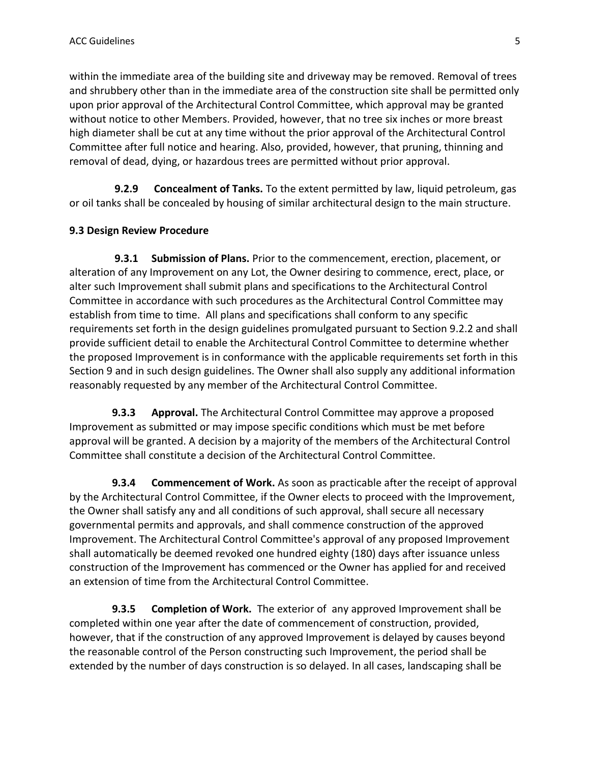within the immediate area of the building site and driveway may be removed. Removal of trees and shrubbery other than in the immediate area of the construction site shall be permitted only upon prior approval of the Architectural Control Committee, which approval may be granted without notice to other Members. Provided, however, that no tree six inches or more breast high diameter shall be cut at any time without the prior approval of the Architectural Control Committee after full notice and hearing. Also, provided, however, that pruning, thinning and removal of dead, dying, or hazardous trees are permitted without prior approval.

 **9.2.9 Concealment of Tanks.** To the extent permitted by law, liquid petroleum, gas or oil tanks shall be concealed by housing of similar architectural design to the main structure.

#### **9.3 Design Review Procedure**

 **9.3.1 Submission of Plans.** Prior to the commencement, erection, placement, or alteration of any Improvement on any Lot, the Owner desiring to commence, erect, place, or alter such Improvement shall submit plans and specifications to the Architectural Control Committee in accordance with such procedures as the Architectural Control Committee may establish from time to time. All plans and specifications shall conform to any specific requirements set forth in the design guidelines promulgated pursuant to Section 9.2.2 and shall provide sufficient detail to enable the Architectural Control Committee to determine whether the proposed Improvement is in conformance with the applicable requirements set forth in this Section 9 and in such design guidelines. The Owner shall also supply any additional information reasonably requested by any member of the Architectural Control Committee.

 **9.3.3 Approval.** The Architectural Control Committee may approve a proposed Improvement as submitted or may impose specific conditions which must be met before approval will be granted. A decision by a majority of the members of the Architectural Control Committee shall constitute a decision of the Architectural Control Committee.

 **9.3.4 Commencement of Work.** As soon as practicable after the receipt of approval by the Architectural Control Committee, if the Owner elects to proceed with the Improvement, the Owner shall satisfy any and all conditions of such approval, shall secure all necessary governmental permits and approvals, and shall commence construction of the approved Improvement. The Architectural Control Committee's approval of any proposed Improvement shall automatically be deemed revoked one hundred eighty (180) days after issuance unless construction of the Improvement has commenced or the Owner has applied for and received an extension of time from the Architectural Control Committee.

 **9.3.5 Completion of Work.** The exterior of any approved Improvement shall be completed within one year after the date of commencement of construction, provided, however, that if the construction of any approved Improvement is delayed by causes beyond the reasonable control of the Person constructing such Improvement, the period shall be extended by the number of days construction is so delayed. In all cases, landscaping shall be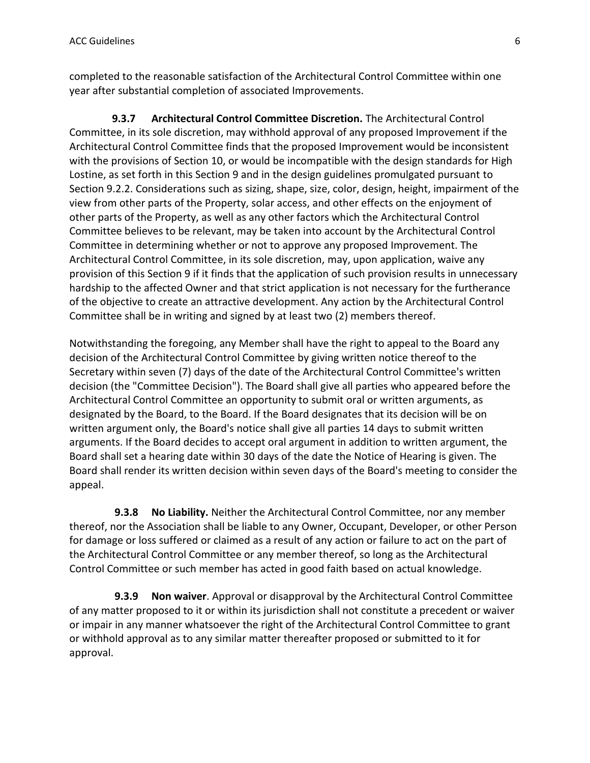completed to the reasonable satisfaction of the Architectural Control Committee within one year after substantial completion of associated Improvements.

 **9.3.7 Architectural Control Committee Discretion.** The Architectural Control Committee, in its sole discretion, may withhold approval of any proposed Improvement if the Architectural Control Committee finds that the proposed Improvement would be inconsistent with the provisions of Section 10, or would be incompatible with the design standards for High Lostine, as set forth in this Section 9 and in the design guidelines promulgated pursuant to Section 9.2.2. Considerations such as sizing, shape, size, color, design, height, impairment of the view from other parts of the Property, solar access, and other effects on the enjoyment of other parts of the Property, as well as any other factors which the Architectural Control Committee believes to be relevant, may be taken into account by the Architectural Control Committee in determining whether or not to approve any proposed Improvement. The Architectural Control Committee, in its sole discretion, may, upon application, waive any provision of this Section 9 if it finds that the application of such provision results in unnecessary hardship to the affected Owner and that strict application is not necessary for the furtherance of the objective to create an attractive development. Any action by the Architectural Control Committee shall be in writing and signed by at least two (2) members thereof.

Notwithstanding the foregoing, any Member shall have the right to appeal to the Board any decision of the Architectural Control Committee by giving written notice thereof to the Secretary within seven (7) days of the date of the Architectural Control Committee's written decision (the "Committee Decision"). The Board shall give all parties who appeared before the Architectural Control Committee an opportunity to submit oral or written arguments, as designated by the Board, to the Board. If the Board designates that its decision will be on written argument only, the Board's notice shall give all parties 14 days to submit written arguments. If the Board decides to accept oral argument in addition to written argument, the Board shall set a hearing date within 30 days of the date the Notice of Hearing is given. The Board shall render its written decision within seven days of the Board's meeting to consider the appeal.

 **9.3.8 No Liability.** Neither the Architectural Control Committee, nor any member thereof, nor the Association shall be liable to any Owner, Occupant, Developer, or other Person for damage or loss suffered or claimed as a result of any action or failure to act on the part of the Architectural Control Committee or any member thereof, so long as the Architectural Control Committee or such member has acted in good faith based on actual knowledge.

 **9.3.9 Non waiver**. Approval or disapproval by the Architectural Control Committee of any matter proposed to it or within its jurisdiction shall not constitute a precedent or waiver or impair in any manner whatsoever the right of the Architectural Control Committee to grant or withhold approval as to any similar matter thereafter proposed or submitted to it for approval.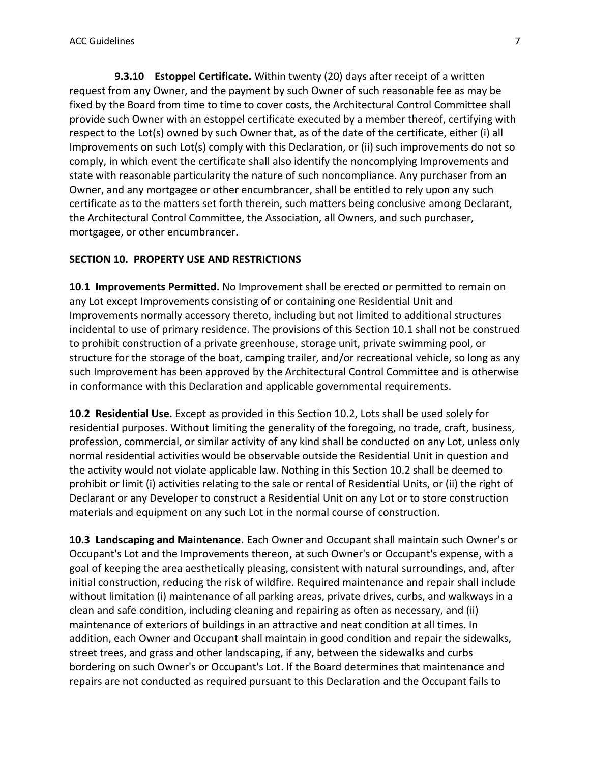**9.3.10 Estoppel Certificate.** Within twenty (20) days after receipt of a written request from any Owner, and the payment by such Owner of such reasonable fee as may be fixed by the Board from time to time to cover costs, the Architectural Control Committee shall provide such Owner with an estoppel certificate executed by a member thereof, certifying with respect to the Lot(s) owned by such Owner that, as of the date of the certificate, either (i) all Improvements on such Lot(s) comply with this Declaration, or (ii) such improvements do not so comply, in which event the certificate shall also identify the noncomplying Improvements and state with reasonable particularity the nature of such noncompliance. Any purchaser from an Owner, and any mortgagee or other encumbrancer, shall be entitled to rely upon any such certificate as to the matters set forth therein, such matters being conclusive among Declarant, the Architectural Control Committee, the Association, all Owners, and such purchaser, mortgagee, or other encumbrancer.

#### **SECTION 10. PROPERTY USE AND RESTRICTIONS**

**10.1 Improvements Permitted.** No Improvement shall be erected or permitted to remain on any Lot except Improvements consisting of or containing one Residential Unit and Improvements normally accessory thereto, including but not limited to additional structures incidental to use of primary residence. The provisions of this Section 10.1 shall not be construed to prohibit construction of a private greenhouse, storage unit, private swimming pool, or structure for the storage of the boat, camping trailer, and/or recreational vehicle, so long as any such Improvement has been approved by the Architectural Control Committee and is otherwise in conformance with this Declaration and applicable governmental requirements.

**10.2 Residential Use.** Except as provided in this Section 10.2, Lots shall be used solely for residential purposes. Without limiting the generality of the foregoing, no trade, craft, business, profession, commercial, or similar activity of any kind shall be conducted on any Lot, unless only normal residential activities would be observable outside the Residential Unit in question and the activity would not violate applicable law. Nothing in this Section 10.2 shall be deemed to prohibit or limit (i) activities relating to the sale or rental of Residential Units, or (ii) the right of Declarant or any Developer to construct a Residential Unit on any Lot or to store construction materials and equipment on any such Lot in the normal course of construction.

**10.3 Landscaping and Maintenance.** Each Owner and Occupant shall maintain such Owner's or Occupant's Lot and the Improvements thereon, at such Owner's or Occupant's expense, with a goal of keeping the area aesthetically pleasing, consistent with natural surroundings, and, after initial construction, reducing the risk of wildfire. Required maintenance and repair shall include without limitation (i) maintenance of all parking areas, private drives, curbs, and walkways in a clean and safe condition, including cleaning and repairing as often as necessary, and (ii) maintenance of exteriors of buildings in an attractive and neat condition at all times. In addition, each Owner and Occupant shall maintain in good condition and repair the sidewalks, street trees, and grass and other landscaping, if any, between the sidewalks and curbs bordering on such Owner's or Occupant's Lot. If the Board determines that maintenance and repairs are not conducted as required pursuant to this Declaration and the Occupant fails to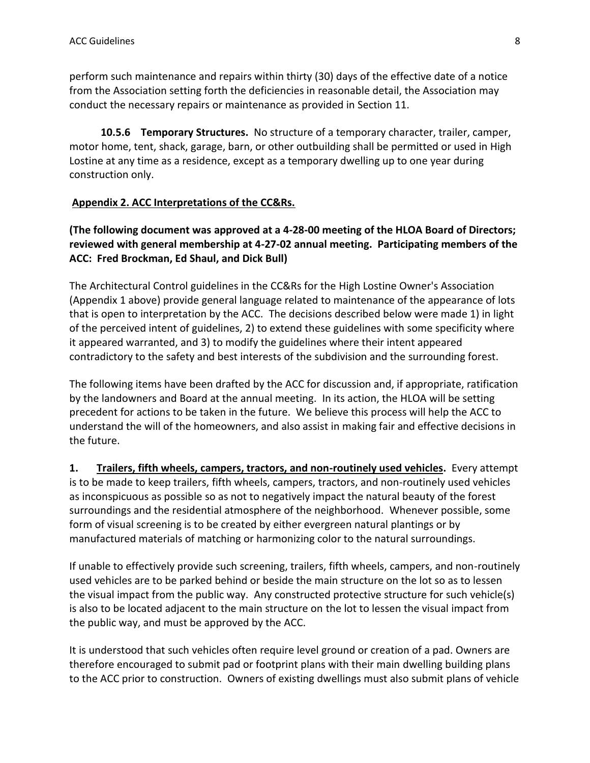perform such maintenance and repairs within thirty (30) days of the effective date of a notice from the Association setting forth the deficiencies in reasonable detail, the Association may conduct the necessary repairs or maintenance as provided in Section 11.

 **10.5.6 Temporary Structures.** No structure of a temporary character, trailer, camper, motor home, tent, shack, garage, barn, or other outbuilding shall be permitted or used in High Lostine at any time as a residence, except as a temporary dwelling up to one year during construction only.

# **Appendix 2. ACC Interpretations of the CC&Rs.**

**(The following document was approved at a 4-28-00 meeting of the HLOA Board of Directors; reviewed with general membership at 4-27-02 annual meeting. Participating members of the ACC: Fred Brockman, Ed Shaul, and Dick Bull)**

The Architectural Control guidelines in the CC&Rs for the High Lostine Owner's Association (Appendix 1 above) provide general language related to maintenance of the appearance of lots that is open to interpretation by the ACC. The decisions described below were made 1) in light of the perceived intent of guidelines, 2) to extend these guidelines with some specificity where it appeared warranted, and 3) to modify the guidelines where their intent appeared contradictory to the safety and best interests of the subdivision and the surrounding forest.

The following items have been drafted by the ACC for discussion and, if appropriate, ratification by the landowners and Board at the annual meeting. In its action, the HLOA will be setting precedent for actions to be taken in the future. We believe this process will help the ACC to understand the will of the homeowners, and also assist in making fair and effective decisions in the future.

**1. Trailers, fifth wheels, campers, tractors, and non-routinely used vehicles.** Every attempt is to be made to keep trailers, fifth wheels, campers, tractors, and non-routinely used vehicles as inconspicuous as possible so as not to negatively impact the natural beauty of the forest surroundings and the residential atmosphere of the neighborhood. Whenever possible, some form of visual screening is to be created by either evergreen natural plantings or by manufactured materials of matching or harmonizing color to the natural surroundings.

If unable to effectively provide such screening, trailers, fifth wheels, campers, and non-routinely used vehicles are to be parked behind or beside the main structure on the lot so as to lessen the visual impact from the public way. Any constructed protective structure for such vehicle(s) is also to be located adjacent to the main structure on the lot to lessen the visual impact from the public way, and must be approved by the ACC.

It is understood that such vehicles often require level ground or creation of a pad. Owners are therefore encouraged to submit pad or footprint plans with their main dwelling building plans to the ACC prior to construction. Owners of existing dwellings must also submit plans of vehicle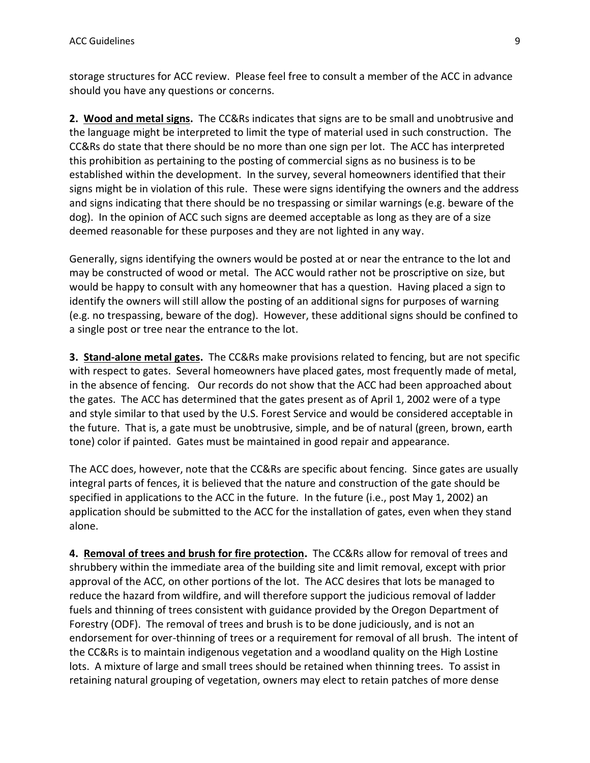storage structures for ACC review. Please feel free to consult a member of the ACC in advance should you have any questions or concerns.

**2. Wood and metal signs.** The CC&Rs indicates that signs are to be small and unobtrusive and the language might be interpreted to limit the type of material used in such construction. The CC&Rs do state that there should be no more than one sign per lot. The ACC has interpreted this prohibition as pertaining to the posting of commercial signs as no business is to be established within the development. In the survey, several homeowners identified that their signs might be in violation of this rule. These were signs identifying the owners and the address and signs indicating that there should be no trespassing or similar warnings (e.g. beware of the dog). In the opinion of ACC such signs are deemed acceptable as long as they are of a size deemed reasonable for these purposes and they are not lighted in any way.

Generally, signs identifying the owners would be posted at or near the entrance to the lot and may be constructed of wood or metal. The ACC would rather not be proscriptive on size, but would be happy to consult with any homeowner that has a question. Having placed a sign to identify the owners will still allow the posting of an additional signs for purposes of warning (e.g. no trespassing, beware of the dog). However, these additional signs should be confined to a single post or tree near the entrance to the lot.

**3. Stand-alone metal gates.** The CC&Rs make provisions related to fencing, but are not specific with respect to gates. Several homeowners have placed gates, most frequently made of metal, in the absence of fencing. Our records do not show that the ACC had been approached about the gates. The ACC has determined that the gates present as of April 1, 2002 were of a type and style similar to that used by the U.S. Forest Service and would be considered acceptable in the future. That is, a gate must be unobtrusive, simple, and be of natural (green, brown, earth tone) color if painted. Gates must be maintained in good repair and appearance.

The ACC does, however, note that the CC&Rs are specific about fencing. Since gates are usually integral parts of fences, it is believed that the nature and construction of the gate should be specified in applications to the ACC in the future. In the future (i.e., post May 1, 2002) an application should be submitted to the ACC for the installation of gates, even when they stand alone.

**4. Removal of trees and brush for fire protection.** The CC&Rs allow for removal of trees and shrubbery within the immediate area of the building site and limit removal, except with prior approval of the ACC, on other portions of the lot. The ACC desires that lots be managed to reduce the hazard from wildfire, and will therefore support the judicious removal of ladder fuels and thinning of trees consistent with guidance provided by the Oregon Department of Forestry (ODF). The removal of trees and brush is to be done judiciously, and is not an endorsement for over-thinning of trees or a requirement for removal of all brush. The intent of the CC&Rs is to maintain indigenous vegetation and a woodland quality on the High Lostine lots. A mixture of large and small trees should be retained when thinning trees. To assist in retaining natural grouping of vegetation, owners may elect to retain patches of more dense